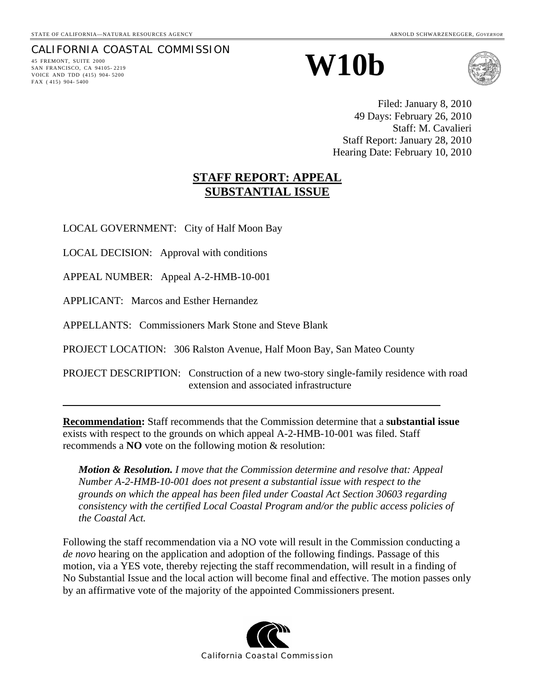# CALIFORNIA COASTAL COMMISSION

SAN FRANCISCO, CA 94105- 2219 VOICE AND TDD (415) 904- 5200 FAX ( 415) 904- 5400

# 45 FREMONT, SUITE 2000<br>
AN **FRANCISCO, CA 94105-2219**



Filed: January 8, 2010 49 Days: February 26, 2010 Staff: M. Cavalieri Staff Report: January 28, 2010 Hearing Date: February 10, 2010

# **STAFF REPORT: APPEAL SUBSTANTIAL ISSUE**

LOCAL GOVERNMENT: City of Half Moon Bay

LOCAL DECISION: Approval with conditions

APPEAL NUMBER: Appeal A-2-HMB-10-001

APPLICANT: Marcos and Esther Hernandez

APPELLANTS: Commissioners Mark Stone and Steve Blank

PROJECT LOCATION: 306 Ralston Avenue, Half Moon Bay, San Mateo County

PROJECT DESCRIPTION: Construction of a new two-story single-family residence with road extension and associated infrastructure

**Recommendation:** Staff recommends that the Commission determine that a **substantial issue** exists with respect to the grounds on which appeal A-2-HMB-10-001 was filed. Staff recommends a **NO** vote on the following motion & resolution:

*Motion & Resolution. I move that the Commission determine and resolve that: Appeal Number A-2-HMB-10-001 does not present a substantial issue with respect to the grounds on which the appeal has been filed under Coastal Act Section 30603 regarding consistency with the certified Local Coastal Program and/or the public access policies of the Coastal Act.* 

Following the staff recommendation via a NO vote will result in the Commission conducting a *de novo* hearing on the application and adoption of the following findings. Passage of this motion, via a YES vote, thereby rejecting the staff recommendation, will result in a finding of No Substantial Issue and the local action will become final and effective. The motion passes only by an affirmative vote of the majority of the appointed Commissioners present.

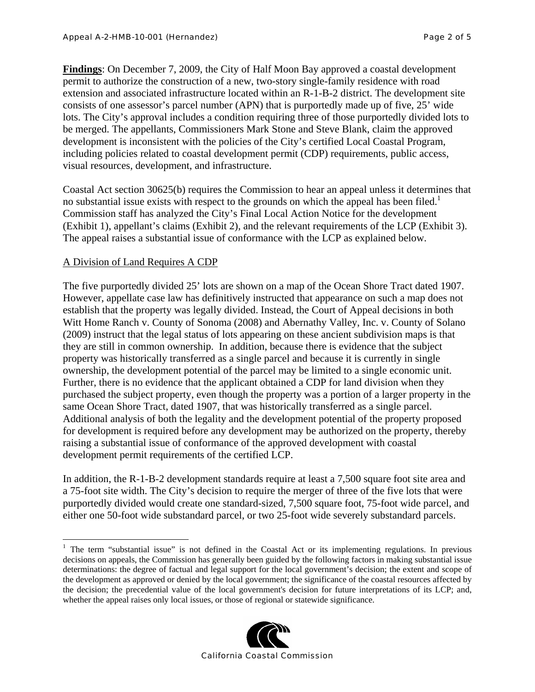**Findings**: On December 7, 2009, the City of Half Moon Bay approved a coastal development permit to authorize the construction of a new, two-story single-family residence with road extension and associated infrastructure located within an R-1-B-2 district. The development site consists of one assessor's parcel number (APN) that is purportedly made up of five, 25' wide lots. The City's approval includes a condition requiring three of those purportedly divided lots to be merged. The appellants, Commissioners Mark Stone and Steve Blank, claim the approved development is inconsistent with the policies of the City's certified Local Coastal Program, including policies related to coastal development permit (CDP) requirements, public access, visual resources, development, and infrastructure.

Coastal Act section 30625(b) requires the Commission to hear an appeal unless it determines that no substantial issue exists with respect to the grounds on which the appeal has been filed.<sup>1</sup> Commission staff has analyzed the City's Final Local Action Notice for the development (Exhibit 1), appellant's claims (Exhibit 2), and the relevant requirements of the LCP (Exhibit 3). The appeal raises a substantial issue of conformance with the LCP as explained below.

# A Division of Land Requires A CDP

 $\overline{a}$ 

The five purportedly divided 25' lots are shown on a map of the Ocean Shore Tract dated 1907. However, appellate case law has definitively instructed that appearance on such a map does not establish that the property was legally divided. Instead, the Court of Appeal decisions in both Witt Home Ranch v. County of Sonoma (2008) and Abernathy Valley, Inc. v. County of Solano (2009) instruct that the legal status of lots appearing on these ancient subdivision maps is that they are still in common ownership. In addition, because there is evidence that the subject property was historically transferred as a single parcel and because it is currently in single ownership, the development potential of the parcel may be limited to a single economic unit. Further, there is no evidence that the applicant obtained a CDP for land division when they purchased the subject property, even though the property was a portion of a larger property in the same Ocean Shore Tract, dated 1907, that was historically transferred as a single parcel. Additional analysis of both the legality and the development potential of the property proposed for development is required before any development may be authorized on the property, thereby raising a substantial issue of conformance of the approved development with coastal development permit requirements of the certified LCP.

In addition, the R-1-B-2 development standards require at least a 7,500 square foot site area and a 75-foot site width. The City's decision to require the merger of three of the five lots that were purportedly divided would create one standard-sized, 7,500 square foot, 75-foot wide parcel, and either one 50-foot wide substandard parcel, or two 25-foot wide severely substandard parcels.

<sup>&</sup>lt;sup>1</sup> The term "substantial issue" is not defined in the Coastal Act or its implementing regulations. In previous decisions on appeals, the Commission has generally been guided by the following factors in making substantial issue determinations: the degree of factual and legal support for the local government's decision; the extent and scope of the development as approved or denied by the local government; the significance of the coastal resources affected by the decision; the precedential value of the local government's decision for future interpretations of its LCP; and, whether the appeal raises only local issues, or those of regional or statewide significance.

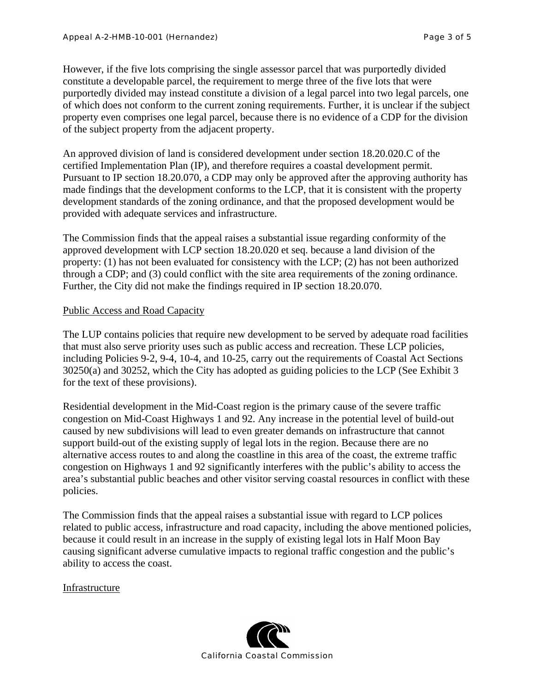However, if the five lots comprising the single assessor parcel that was purportedly divided constitute a developable parcel, the requirement to merge three of the five lots that were purportedly divided may instead constitute a division of a legal parcel into two legal parcels, one of which does not conform to the current zoning requirements. Further, it is unclear if the subject property even comprises one legal parcel, because there is no evidence of a CDP for the division of the subject property from the adjacent property.

An approved division of land is considered development under section 18.20.020.C of the certified Implementation Plan (IP), and therefore requires a coastal development permit. Pursuant to IP section 18.20.070, a CDP may only be approved after the approving authority has made findings that the development conforms to the LCP, that it is consistent with the property development standards of the zoning ordinance, and that the proposed development would be provided with adequate services and infrastructure.

The Commission finds that the appeal raises a substantial issue regarding conformity of the approved development with LCP section 18.20.020 et seq. because a land division of the property: (1) has not been evaluated for consistency with the LCP; (2) has not been authorized through a CDP; and (3) could conflict with the site area requirements of the zoning ordinance. Further, the City did not make the findings required in IP section 18.20.070.

## Public Access and Road Capacity

The LUP contains policies that require new development to be served by adequate road facilities that must also serve priority uses such as public access and recreation. These LCP policies, including Policies 9-2, 9-4, 10-4, and 10-25, carry out the requirements of Coastal Act Sections 30250(a) and 30252, which the City has adopted as guiding policies to the LCP (See Exhibit 3 for the text of these provisions).

Residential development in the Mid-Coast region is the primary cause of the severe traffic congestion on Mid-Coast Highways 1 and 92. Any increase in the potential level of build-out caused by new subdivisions will lead to even greater demands on infrastructure that cannot support build-out of the existing supply of legal lots in the region. Because there are no alternative access routes to and along the coastline in this area of the coast, the extreme traffic congestion on Highways 1 and 92 significantly interferes with the public's ability to access the area's substantial public beaches and other visitor serving coastal resources in conflict with these policies.

The Commission finds that the appeal raises a substantial issue with regard to LCP polices related to public access, infrastructure and road capacity, including the above mentioned policies, because it could result in an increase in the supply of existing legal lots in Half Moon Bay causing significant adverse cumulative impacts to regional traffic congestion and the public's ability to access the coast.

## Infrastructure

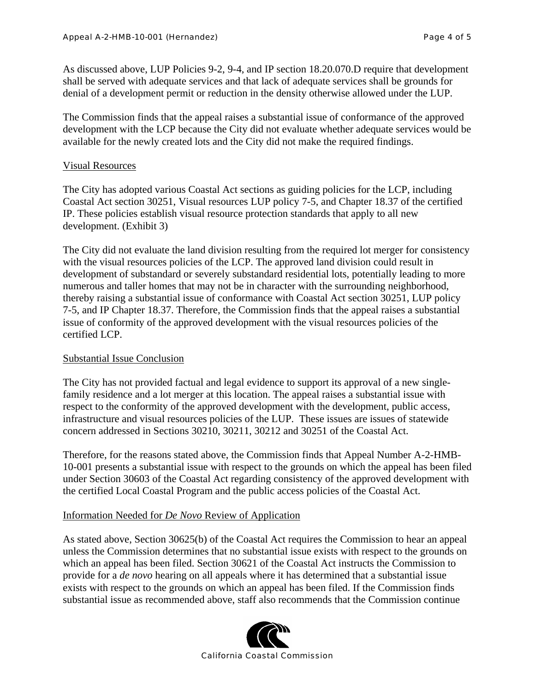As discussed above, LUP Policies 9-2, 9-4, and IP section 18.20.070.D require that development shall be served with adequate services and that lack of adequate services shall be grounds for denial of a development permit or reduction in the density otherwise allowed under the LUP.

The Commission finds that the appeal raises a substantial issue of conformance of the approved development with the LCP because the City did not evaluate whether adequate services would be available for the newly created lots and the City did not make the required findings.

# Visual Resources

The City has adopted various Coastal Act sections as guiding policies for the LCP, including Coastal Act section 30251, Visual resources LUP policy 7-5, and Chapter 18.37 of the certified IP. These policies establish visual resource protection standards that apply to all new development. (Exhibit 3)

The City did not evaluate the land division resulting from the required lot merger for consistency with the visual resources policies of the LCP. The approved land division could result in development of substandard or severely substandard residential lots, potentially leading to more numerous and taller homes that may not be in character with the surrounding neighborhood, thereby raising a substantial issue of conformance with Coastal Act section 30251, LUP policy 7-5, and IP Chapter 18.37. Therefore, the Commission finds that the appeal raises a substantial issue of conformity of the approved development with the visual resources policies of the certified LCP.

# Substantial Issue Conclusion

The City has not provided factual and legal evidence to support its approval of a new singlefamily residence and a lot merger at this location. The appeal raises a substantial issue with respect to the conformity of the approved development with the development, public access, infrastructure and visual resources policies of the LUP. These issues are issues of statewide concern addressed in Sections 30210, 30211, 30212 and 30251 of the Coastal Act.

Therefore, for the reasons stated above, the Commission finds that Appeal Number A-2-HMB-10-001 presents a substantial issue with respect to the grounds on which the appeal has been filed under Section 30603 of the Coastal Act regarding consistency of the approved development with the certified Local Coastal Program and the public access policies of the Coastal Act.

# Information Needed for *De Novo* Review of Application

As stated above, Section 30625(b) of the Coastal Act requires the Commission to hear an appeal unless the Commission determines that no substantial issue exists with respect to the grounds on which an appeal has been filed. Section 30621 of the Coastal Act instructs the Commission to provide for a *de novo* hearing on all appeals where it has determined that a substantial issue exists with respect to the grounds on which an appeal has been filed. If the Commission finds substantial issue as recommended above, staff also recommends that the Commission continue

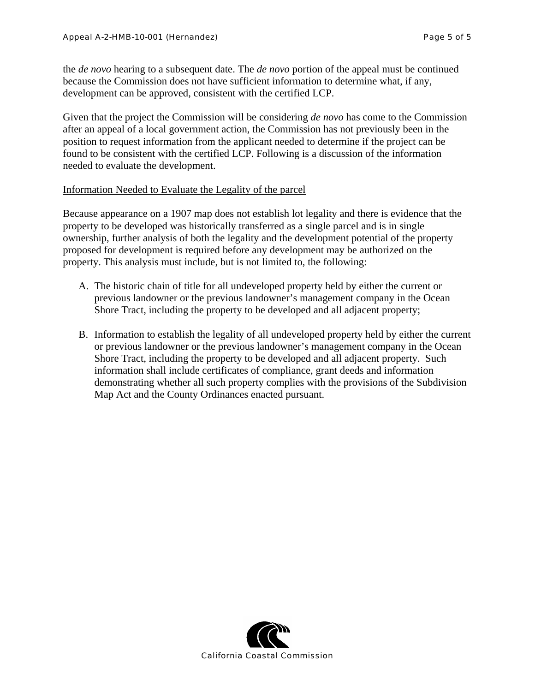the *de novo* hearing to a subsequent date. The *de novo* portion of the appeal must be continued because the Commission does not have sufficient information to determine what, if any, development can be approved, consistent with the certified LCP.

Given that the project the Commission will be considering *de novo* has come to the Commission after an appeal of a local government action, the Commission has not previously been in the position to request information from the applicant needed to determine if the project can be found to be consistent with the certified LCP. Following is a discussion of the information needed to evaluate the development.

## Information Needed to Evaluate the Legality of the parcel

Because appearance on a 1907 map does not establish lot legality and there is evidence that the property to be developed was historically transferred as a single parcel and is in single ownership, further analysis of both the legality and the development potential of the property proposed for development is required before any development may be authorized on the property. This analysis must include, but is not limited to, the following:

- A. The historic chain of title for all undeveloped property held by either the current or previous landowner or the previous landowner's management company in the Ocean Shore Tract, including the property to be developed and all adjacent property;
- B. Information to establish the legality of all undeveloped property held by either the current or previous landowner or the previous landowner's management company in the Ocean Shore Tract, including the property to be developed and all adjacent property. Such information shall include certificates of compliance, grant deeds and information demonstrating whether all such property complies with the provisions of the Subdivision Map Act and the County Ordinances enacted pursuant.

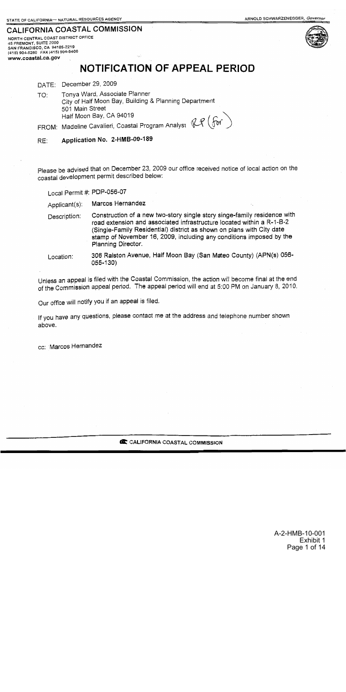# CALIFORNIA COASTAL COMMISSION

NORTH CENTRAL COAST DISTRICT OFFICE **15 FREMONT, SUITE 2000<br>SAN FRANCISCO, CA 94105-2219<br>(415) 904-5260 FAX (415) 904-5400** www.coastal.ca.gov





# NOTIFICATION OF APPEAL PERIOD

DATE: December 29, 2009

Tonya Ward, Associate Planner TO: City of Half Moon Bay, Building & Planning Department 501 Main Street Half Moon Bay, CA 94019 FROM: Madeline Cavalieri, Coastal Program Analyst  $\mathbb{CP}(\mathfrak{for})$ 

Application No. 2-HMB-09-189 RE:

Please be advised that on December 23, 2009 our office received notice of local action on the coastal development permit described below:

Local Permit #: PDP-056-07

Marcos Hernandez Applicant(s):

- Construction of a new two-story single story singe-family residence with Description: road extension and associated infrastructure located within a R-1-B-2 (Single-Family Residential) district as shown on plans with City date stamp of November 16, 2009, including any conditions imposed by the Planning Director.
- 306 Ralston Avenue, Half Moon Bay (San Mateo County) (APN(s) 056-Location: 055-130)

Unless an appeal is filed with the Coastal Commission, the action will become final at the end of the Commission appeal period. The appeal period will end at 5:00 PM on January 8, 2010.

Our office will notify you if an appeal is filed.

If you have any questions, please contact me at the address and telephone number shown above.

cc: Marcos Hernandez

C CALIFORNIA COASTAL COMMISSION

A-2-HMB-10-001 Exhibit 1 Page 1 of 14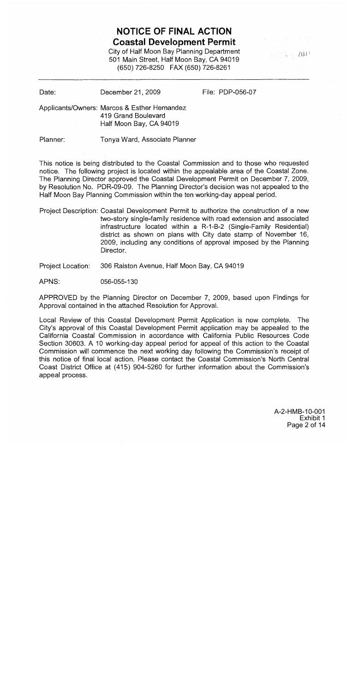# **NOTICE OF FINAL ACTION Coastal Development Permit**

City of Half Moon Bay Planning Department 501 Main Street, Half Moon Bay, CA 94019 (650) 726-8250 FAX (650) 726-8261

 $\gamma_0 \approx 4/2000$ 

Date: December 21, 2009 File: PDP-056-07

Applicants/Owners: Marcos & Esther Hernandez 419 Grand Boulevard Half Moon Bay, CA 94019

Planner:

Tonya Ward, Associate Planner

This notice is being distributed to the Coastal Commission and to those who requested notice. The following project is located within the appealable area of the Coastal Zone. The Planning Director approved the Coastal Development Permit on December 7, 2009, by Resolution No. PDR-09-09. The Planning Director's decision was not appealed to the Half Moon Bay Planning Commission within the ten working-day appeal period.

Project Description: Coastal Development Permit to authorize the construction of a new two-story single-family residence with road extension and associated infrastructure located within a R-1-B-2 (Single-Family Residential) district as shown on plans with City date stamp of November 16, 2009, including any conditions of approval imposed by the Planning Director.

Project Location: 306 Ralston Avenue, Half Moon Bay, CA 94019

056-055-130 APNS:

APPROVED by the Planning Director on December 7, 2009, based upon Findings for Approval contained in the attached Resolution for Approval.

Local Review of this Coastal Development Permit Application is now complete. The City's approval of this Coastal Development Permit application may be appealed to the California Coastal Commission in accordance with California Public Resources Code Section 30603. A 10 working-day appeal period for appeal of this action to the Coastal Commission will commence the next working day following the Commission's receipt of this notice of final local action. Please contact the Coastal Commission's North Central Coast District Office at (415) 904-5260 for further information about the Commission's appeal process.

> A-2-HMB-10-001 Exhibit 1 Page 2 of 14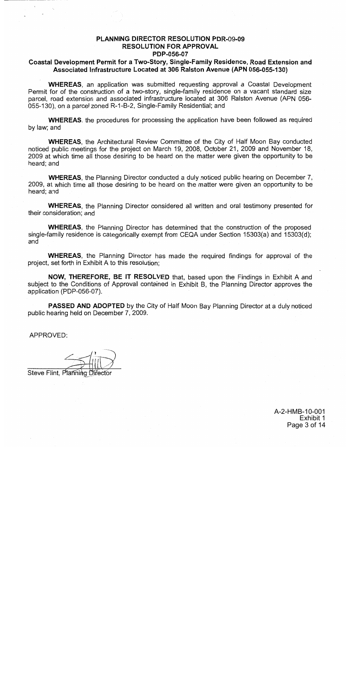# **PLANNING DIRECTOR RESOLUTION PDR-09-09 RESOLUTION FOR APPROVAL** PDP-056-07

# Coastal Development Permit for a Two-Story, Single-Family Residence, Road Extension and Associated Infrastructure Located at 306 Ralston Avenue (APN 056-055-130)

**WHEREAS**, an application was submitted requesting approval a Coastal Development Permit for of the construction of a two-story, single-family residence on a vacant standard size parcel, road extension and associated infrastructure located at 306 Raiston Avenue (APN 056-055-130), on a parcel zoned R-1-B-2, Single-Family Residential; and

**WHEREAS**, the procedures for processing the application have been followed as required by law; and

**WHEREAS.** the Architectural Review Committee of the City of Half Moon Bay conducted noticed public meetings for the project on March 19, 2008, October 21, 2009 and November 18, 2009 at which time all those desiring to be heard on the matter were given the opportunity to be heard: and

**WHEREAS**, the Planning Director conducted a duly noticed public hearing on December 7, 2009, at which time all those desiring to be heard on the matter were given an opportunity to be heard; and

**WHEREAS**, the Planning Director considered all written and oral testimony presented for their consideration; and

**WHEREAS**, the Planning Director has determined that the construction of the proposed single-family residence is categorically exempt from CEQA under Section 15303(a) and 15303(d); and

**WHEREAS.** the Planning Director has made the required findings for approval of the project, set forth in Exhibit A to this resolution;

NOW, THEREFORE, BE IT RESOLVED that, based upon the Findings in Exhibit A and subject to the Conditions of Approval contained in Exhibit B, the Planning Director approves the application (PDP-056-07).

**PASSED AND ADOPTED** by the City of Half Moon Bay Planning Director at a duly noticed public hearing held on December 7, 2009.

APPROVED:

Steve Flint, Planning Director

A-2-HMB-10-001 Exhibit 1 Page 3 of 14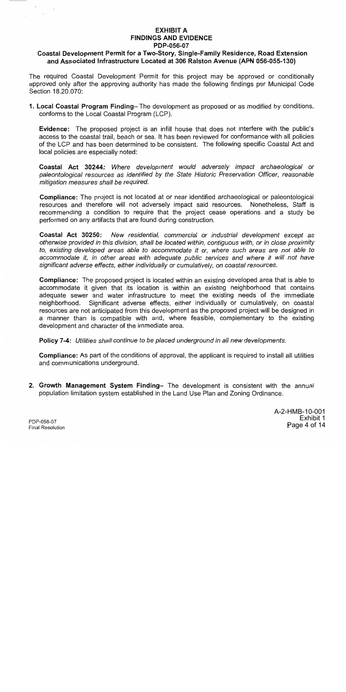# **EXHIBIT A FINDINGS AND EVIDENCE** PDP-056-07

# Coastal Development Permit for a Two-Story, Single-Family Residence, Road Extension and Associated Infrastructure Located at 306 Ralston Avenue (APN 056-055-130)

The required Coastal Development Permit for this project may be approved or conditionally approved only after the approving authority has made the following findings per Municipal Code Section 18.20.070:

1. Local Coastal Program Finding-The development as proposed or as modified by conditions, conforms to the Local Coastal Program (LCP).

**Evidence:** The proposed project is an infill house that does not interfere with the public's access to the coastal trail, beach or sea. It has been reviewed for conformance with all policies of the LCP and has been determined to be consistent. The following specific Coastal Act and local policies are especially noted:

Coastal Act 30244: Where development would adversely impact archaeological or paleontological resources as identified by the State Historic Preservation Officer, reasonable mitigation measures shall be required.

**Compliance:** The project is not located at or near identified archaeological or paleontological resources and therefore will not adversely impact said resources. Nonetheless, Staff is recommending a condition to require that the project cease operations and a study be performed on any artifacts that are found during construction.

Coastal Act 30250: New residential, commercial or industrial development except as otherwise provided in this division, shall be located within, contiguous with, or in close proximity to, existing developed areas able to accommodate it or, where such areas are not able to accommodate it, in other areas with adequate public services and where it will not have significant adverse effects, either individually or cumulatively, on coastal resources.

Compliance: The proposed project is located within an existing developed area that is able to accommodate it given that its location is within an existing neighborhood that contains adequate sewer and water infrastructure to meet the existing needs of the immediate neighborhood. Significant adverse effects, either individually or cumulatively, on coastal resources are not anticipated from this development as the proposed project will be designed in a manner than is compatible with and, where feasible, complementary to the existing development and character of the immediate area.

Policy 7-4: Utilities shall continue to be placed underground in all new developments.

**Compliance:** As part of the conditions of approval, the applicant is required to install all utilities and communications underground.

2. Growth Management System Finding- The development is consistent with the annual population limitation system established in the Land Use Plan and Zoning Ordinance.

> A-2-HMB-10-001 Exhibit 1 Page 4 of 14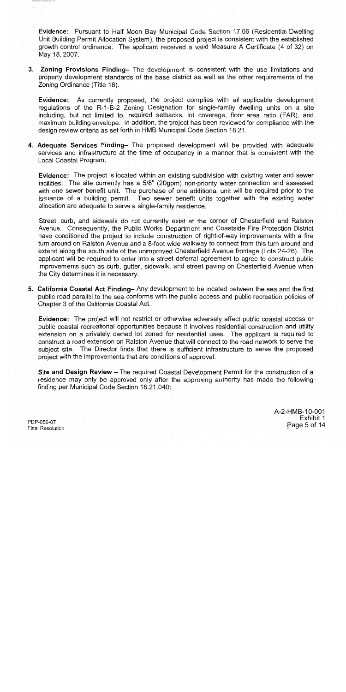Evidence: Pursuant to Half Moon Bay Municipal Code Section 17.06 (Residential Dwelling Unit Building Permit Allocation System), the proposed project is consistent with the established growth control ordinance. The applicant received a valid Measure A Certificate (4 of 32) on May 18, 2007.

3. Zoning Provisions Finding- The development is consistent with the use limitations and property development standards of the base district as well as the other requirements of the Zoning Ordinance (Title 18).

Evidence: As currently proposed, the project complies with all applicable development regulations of the R-1-B-2 Zoning Designation for single-family dwelling units on a site including, but not limited to, required setbacks, lot coverage, floor area ratio (FAR), and maximum building envelope. In addition, the project has been reviewed for compliance with the design review criteria as set forth in HMB Municipal Code Section 18.21.

4. Adequate Services Finding- The proposed development will be provided with adequate services and infrastructure at the time of occupancy in a manner that is consistent with the Local Coastal Program.

**Evidence:** The project is located within an existing subdivision with existing water and sewer facilities. The site currently has a 5/8" (20gpm) non-priority water connection and assessed with one sewer benefit unit. The purchase of one additional unit will be required prior to the issuance of a building permit. Two sewer benefit units together with the existing water allocation are adequate to serve a single-family residence.

Street, curb, and sidewalk do not currently exist at the corner of Chesterfield and Ralston Avenue. Consequently, the Public Works Department and Coastside Fire Protection District have conditioned the project to include construction of right-of-way improvements with a fire turn around on Ralston Avenue and a 8-foot wide walkway to connect from this turn around and extend along the south side of the unimproved Chesterfield Avenue frontage (Lots 24-26). The applicant will be required to enter into a street deferral agreement to agree to construct public improvements such as curb, gutter, sidewalk, and street paving on Chesterfield Avenue when the City determines it is necessary.

5. California Coastal Act Finding– Any development to be located between the sea and the first public road parallel to the sea conforms with the public access and public recreation policies of Chapter 3 of the California Coastal Act.

**Evidence:** The project will not restrict or otherwise adversely affect public coastal access or public coastal recreational opportunities because it involves residential construction and utility extension on a privately owned lot zoned for residential uses. The applicant is required to construct a road extension on Ralston Avenue that will connect to the road network to serve the subject site. The Director finds that there is sufficient infrastructure to serve the proposed project with the improvements that are conditions of approval.

Site and Design Review - The required Coastal Development Permit for the construction of a residence may only be approved only after the approving authority has made the following finding per Municipal Code Section 18.21.040:

> A-2-HMB-10-001 Exhibit 1 Page 5 of 14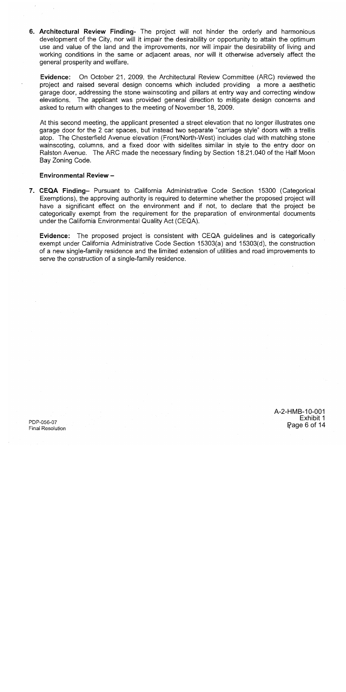6. Architectural Review Finding- The project will not hinder the orderly and harmonious development of the City, nor will it impair the desirability or opportunity to attain the optimum use and value of the land and the improvements, nor will impair the desirability of living and working conditions in the same or adjacent areas, nor will it otherwise adversely affect the general prosperity and welfare.

**Evidence:** On October 21, 2009, the Architectural Review Committee (ARC) reviewed the project and raised several design concerns which included providing a more a aesthetic garage door, addressing the stone wainscoting and pillars at entry way and correcting window elevations. The applicant was provided general direction to mitigate design concerns and asked to return with changes to the meeting of November 18, 2009.

At this second meeting, the applicant presented a street elevation that no longer illustrates one garage door for the 2 car spaces, but instead two separate "carriage style" doors with a trellis atop. The Chesterfield Avenue elevation (Front/North-West) includes clad with matching stone wainscoting, columns, and a fixed door with sidelites similar in style to the entry door on Ralston Avenue. The ARC made the necessary finding by Section 18.21.040 of the Half Moon Bay Zoning Code.

### **Environmental Review -**

7. CEQA Finding- Pursuant to California Administrative Code Section 15300 (Categorical Exemptions), the approving authority is required to determine whether the proposed project will have a significant effect on the environment and if not, to declare that the project be categorically exempt from the requirement for the preparation of environmental documents under the California Environmental Quality Act (CEQA).

Evidence: The proposed project is consistent with CEQA guidelines and is categorically exempt under California Administrative Code Section 15303(a) and 15303(d), the construction of a new single-family residence and the limited extension of utilities and road improvements to serve the construction of a single-family residence.

> A-2-HMB-10-001 Exhibit 1 Page 6 of 14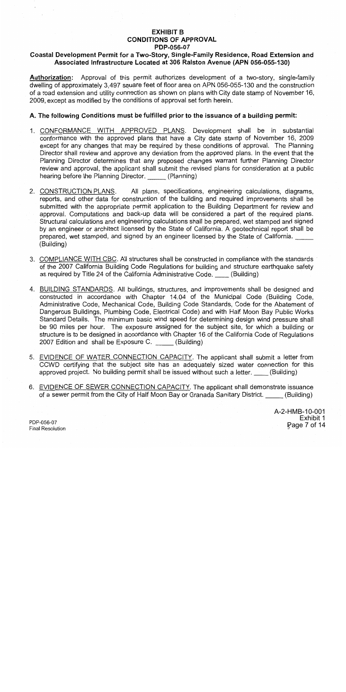# **EXHIBIT B CONDITIONS OF APPROVAL** PDP-056-07

# Coastal Development Permit for a Two-Story, Single-Family Residence, Road Extension and Associated Infrastructure Located at 306 Ralston Avenue (APN 056-055-130)

Authorization: Approval of this permit authorizes development of a two-story, single-family dwelling of approximately 3.497 square feet of floor area on APN 056-055-130 and the construction of a road extension and utility connection as shown on plans with City date stamp of November 16, 2009, except as modified by the conditions of approval set forth herein.

# A. The following Conditions must be fulfilled prior to the issuance of a building permit:

- 1. CONFORMANCE WITH APPROVED PLANS. Development shall be in substantial conformance with the approved plans that have a City date stamp of November 16, 2009 except for any changes that may be required by these conditions of approval. The Planning Director shall review and approve any deviation from the approved plans. In the event that the Planning Director determines that any proposed changes warrant further Planning Director review and approval, the applicant shall submit the revised plans for consideration at a public hearing before the Planning Director. \_\_\_\_\_ (Planning)
- All plans, specifications, engineering calculations, diagrams, 2. CONSTRUCTION PLANS. reports, and other data for construction of the building and required improvements shall be submitted with the appropriate permit application to the Building Department for review and approval. Computations and back-up data will be considered a part of the required plans. Structural calculations and engineering calculations shall be prepared, wet stamped and signed by an engineer or architect licensed by the State of California. A geotechnical report shall be prepared, wet stamped, and signed by an engineer licensed by the State of California. (Building)
- 3. COMPLIANCE WITH CBC. All structures shall be constructed in compliance with the standards of the 2007 California Building Code Regulations for building and structure earthquake safety as required by Title 24 of the California Administrative Code. (Building)
- 4. BUILDING STANDARDS. All buildings, structures, and improvements shall be designed and constructed in accordance with Chapter 14.04 of the Municipal Code (Building Code, Administrative Code, Mechanical Code, Building Code Standards, Code for the Abatement of Dangerous Buildings, Plumbing Code, Electrical Code) and with Half Moon Bay Public Works Standard Details. The minimum basic wind speed for determining design wind pressure shall be 90 miles per hour. The exposure assigned for the subject site, for which a building or structure is to be designed in accordance with Chapter 16 of the California Code of Regulations 2007 Edition and shall be Exposure C. (Building)
- 5. EVIDENCE OF WATER CONNECTION CAPACITY. The applicant shall submit a letter from CCWD certifying that the subject site has an adequately sized water connection for this approved project. No building permit shall be issued without such a letter. (Building)
- 6. EVIDENCE OF SEWER CONNECTION CAPACITY. The applicant shall demonstrate issuance of a sewer permit from the City of Half Moon Bay or Granada Sanitary District. (Building)

A-2-HMB-10-001 Exhibit 1 Rage 7 of 14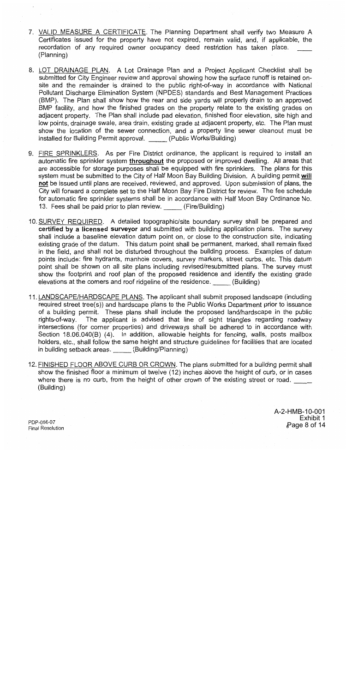- 7. VALID MEASURE A CERTIFICATE. The Planning Department shall verify two Measure A Certificates issued for the property have not expired, remain valid, and, if applicable, the recordation of any required owner occupancy deed restriction has taken place. (Planning)
- 8. LOT DRAINAGE PLAN. A Lot Drainage Plan and a Project Applicant Checklist shall be submitted for City Engineer review and approval showing how the surface runoff is retained onsite and the remainder is drained to the public right-of-way in accordance with National Pollutant Discharge Elimination System (NPDES) standards and Best Management Practices (BMP). The Plan shall show how the rear and side vards will properly drain to an approved BMP facility, and how the finished grades on the property relate to the existing grades on adjacent property. The Plan shall include pad elevation, finished floor elevation, site high and low points, drainage swale, area drain, existing grade at adjacent property, etc. The Plan must show the location of the sewer connection, and a property line sewer cleanout must be installed for Building Permit approval. (Public Works/Building)
- 9. FIRE SPRINKLERS. As per Fire District ordinance, the applicant is required to install an automatic fire sprinkler system throughout the proposed or improved dwelling. All areas that are accessible for storage purposes shall be equipped with fire sprinklers. The plans for this system must be submitted to the City of Half Moon Bay Building Division. A building permit will not be issued until plans are received, reviewed, and approved. Upon submission of plans, the City will forward a complete set to the Half Moon Bay Fire District for review. The fee schedule for automatic fire sprinkler systems shall be in accordance with Half Moon Bay Ordinance No. 13. Fees shall be paid prior to plan review. (Fire/Building)
- 10. SURVEY REQUIRED. A detailed topographic/site boundary survey shall be prepared and certified by a licensed surveyor and submitted with building application plans. The survey shall include a baseline elevation datum point on, or close to the construction site, indicating existing grade of the datum. This datum point shall be permanent, marked, shall remain fixed in the field, and shall not be disturbed throughout the building process. Examples of datum points include: fire hydrants, manhole covers, survey markers, street curbs, etc. This datum point shall be shown on all site plans including revised/resubmitted plans. The survey must show the footprint and roof plan of the proposed residence and identify the existing grade elevations at the corners and roof ridgeline of the residence. (Building)
- 11. LANDSCAPE/HARDSCAPE PLANS. The applicant shall submit proposed landscape (including required street tree(s)) and hardscape plans to the Public Works Department prior to issuance of a building permit. These plans shall include the proposed land/hardscape in the public The applicant is advised that line of sight triangles regarding roadway rights-of-way. intersections (for corner properties) and driveways shall be adhered to in accordance with Section 18.06.040(B) (4). In addition, allowable heights for fencing, walls, posts mailbox holders, etc., shall follow the same height and structure quidelines for facilities that are located in building setback areas. (Building/Planning)
- 12. FINISHED FLOOR ABOVE CURB OR CROWN. The plans submitted for a building permit shall show the finished floor a minimum of twelve (12) inches above the height of curb, or in cases where there is no curb, from the height of other crown of the existing street or road. (Building)

A-2-HMB-10-001 Exhibit 1 Page 8 of 14

PDP-056-07 **Final Resolution**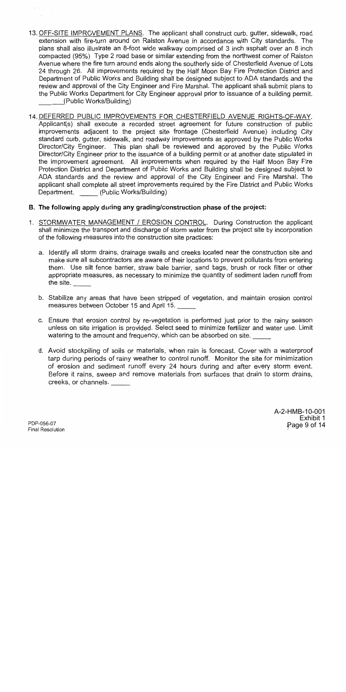- 13. OFF-SITE IMPROVEMENT PLANS. The applicant shall construct curb, gutter, sidewalk, road extension with fire-turn around on Ralston Avenue in accordance with City standards. The plans shall also illustrate an 8-foot wide walkway comprised of 3 inch asphalt over an 8 inch compacted (95%) Type 2 road base or similar extending from the northwest corner of Ralston Avenue where the fire turn around ends along the southerly side of Chesterfield Avenue of Lots 24 through 26. All improvements required by the Half Moon Bay Fire Protection District and Department of Public Works and Building shall be designed subject to ADA standards and the review and approval of the City Engineer and Fire Marshal. The applicant shall submit plans to the Public Works Department for City Engineer approval prior to issuance of a building permit. (Public Works/Building)
- 14. DEFERRED PUBLIC IMPROVEMENTS FOR CHESTERFIELD AVENUE RIGHTS-OF-WAY. Applicant(s) shall execute a recorded street agreement for future construction of public improvements adiacent to the project site frontage (Chesterfield Avenue) including City standard curb, gutter, sidewalk, and roadway improvements as approved by the Public Works Director/City Engineer. This plan shall be reviewed and approved by the Public Works Director/City Engineer prior to the issuance of a building permit or at another date stipulated in the improvement agreement. All improvements when required by the Half Moon Bay Fire Protection District and Department of Public Works and Building shall be designed subject to ADA standards and the review and approval of the City Engineer and Fire Marshal. The applicant shall complete all street improvements required by the Fire District and Public Works Department. (Public Works/Building)
- B. The following apply during any grading/construction phase of the project:
- 1. STORMWATER MANAGEMENT / EROSION CONTROL. During Construction the applicant shall minimize the transport and discharge of storm water from the project site by incorporation of the following measures into the construction site practices:
	- a. Identify all storm drains, drainage swails and creeks located near the construction site and make sure all subcontractors are aware of their locations to prevent pollutants from entering them. Use silt fence barrier, straw bale barrier, sand bags, brush or rock filter or other appropriate measures, as necessary to minimize the quantity of sediment laden runoff from the site.
	- b. Stabilize any areas that have been stripped of vegetation, and maintain erosion control measures between October 15 and April 15.
	- c. Ensure that erosion control by re-vegetation is performed just prior to the rainy season unless on site irrigation is provided. Select seed to minimize fertilizer and water use. Limit watering to the amount and frequency, which can be absorbed on site.
	- d. Avoid stockpiling of soils or materials, when rain is forecast. Cover with a waterproof tarp during periods of rainy weather to control runoff. Monitor the site for minimization of erosion and sediment runoff every 24 hours during and after every storm event. Before it rains, sweep and remove materials from surfaces that drain to storm drains. creeks, or channels.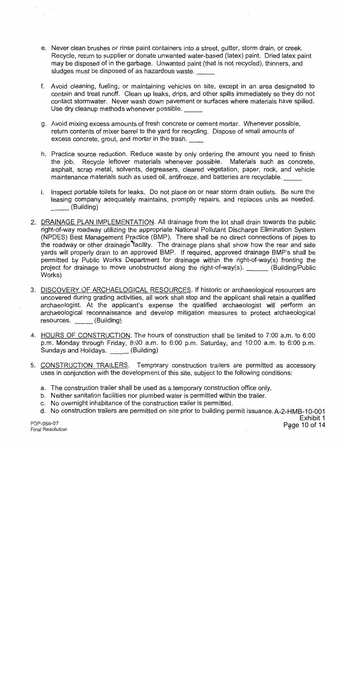- e. Never clean brushes or rinse paint containers into a street, qutter, storm drain, or creek. Recycle, return to supplier or donate unwanted water-based (latex) paint. Dried latex paint may be disposed of in the garbage. Unwanted paint (that is not recycled), thinners, and sludges must be disposed of as hazardous waste.
- f. Avoid cleaning, fueling, or maintaining vehicles on site, except in an area designated to contain and treat runoff. Clean up leaks, drips, and other spills immediately so they do not contact stormwater. Never wash down pavement or surfaces where materials have spilled. Use dry cleanup methods whenever possible.
- g. Avoid mixing excess amounts of fresh concrete or cement mortar. Whenever possible, return contents of mixer barrel to the yard for recycling. Dispose of small amounts of excess concrete, grout, and mortar in the trash.
- h. Practice source reduction. Reduce waste by only ordering the amount you need to finish Recycle leftover materials whenever possible. Materials such as concrete, the job. asphalt, scrap metal, solvents, degreasers, cleared vegetation, paper, rock, and vehicle maintenance materials such as used oil, antifreeze, and batteries are recyclable.
- i. Inspect portable toilets for leaks. Do not place on or near storm drain outlets. Be sure the leasing company adequately maintains, promptly repairs, and replaces units as needed. (Building)
- 2. DRAINAGE PLAN IMPLEMENTATION. All drainage from the lot shall drain towards the public right-of-way roadway utilizing the appropriate National Pollutant Discharge Elimination System (NPDES) Best Management Practice (BMP). There shall be no direct connections of pipes to the roadway or other drainage facility. The drainage plans shall show how the rear and side yards will properly drain to an approved BMP. If required, approved drainage BMP's shall be permitted by Public Works Department for drainage within the right-of-way(s) fronting the project for drainage to move unobstructed along the right-of-way(s). \_\_\_\_\_\_(Building/Public Works)
- 3. DISCOVERY OF ARCHAELOGICAL RESOURCES. If historic or archaeological resources are uncovered during grading activities, all work shall stop and the applicant shall retain a qualified archaeologist. At the applicant's expense the qualified archaeologist will perform an archaeological reconnaissance and develop mitigation measures to protect archaeological resources. (Building)
- 4. HOURS OF CONSTRUCTION. The hours of construction shall be limited to 7:00 a.m. to 6:00 p.m. Monday through Friday, 8:00 a.m. to 6:00 p.m. Saturday, and 10:00 a.m. to 6:00 p.m. Sundays and Holidays. (Building)
- 5. CONSTRUCTION TRAILERS. Temporary construction trailers are permitted as accessory uses in conjunction with the development of this site, subject to the following conditions:
	- a. The construction trailer shall be used as a temporary construction office only.
	- b. Neither sanitation facilities nor plumbed water is permitted within the trailer.
	- c. No overnight inhabitance of the construction trailer is permitted.
	- d. No construction trailers are permitted on site prior to building permit issuance. A-2-HMB-10-001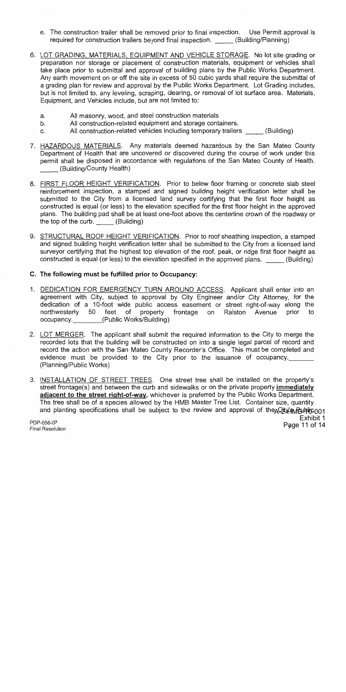- e. The construction trailer shall be removed prior to final inspection. Use Permit approval is required for construction trailers beyond final inspection. (Building/Planning)
- 6. LOT GRADING, MATERIALS, EQUIPMENT AND VEHICLE STORAGE. No lot site grading or preparation nor storage or placement of construction materials, equipment or vehicles shall take place prior to submittal and approval of building plans by the Public Works Department. Any earth movement on or off the site in excess of 50 cubic yards shall require the submittal of a grading plan for review and approval by the Public Works Department. Lot Grading includes, but is not limited to, any leveling, scraping, clearing, or removal of lot surface area. Materials, Equipment, and Vehicles include, but are not limited to:
	- All masonry, wood, and steel construction materials a.
	- All construction-related equipment and storage containers.  $b<sub>1</sub>$
	- All construction-related vehicles including temporary trailers (Building)  $C_{r}$
- 7. HAZARDOUS MATERIALS. Any materials deemed hazardous by the San Mateo County Department of Health that are uncovered or discovered during the course of work under this permit shall be disposed in accordance with regulations of the San Mateo County of Health. (Building/County Health)
- 8. FIRST FLOOR HEIGHT VERIFICATION. Prior to below floor framing or concrete slab steel reinforcement inspection, a stamped and signed building height verification letter shall be submitted to the City from a licensed land survey certifying that the first floor height as constructed is equal (or less) to the elevation specified for the first floor height in the approved plans. The building pad shall be at least one-foot above the centerline crown of the roadway or the top of the curb. (Building)
- 9. STRUCTURAL ROOF HEIGHT VERIFICATION. Prior to roof sheathing inspection, a stamped and signed building height verification letter shall be submitted to the City from a licensed land surveyor certifying that the highest top elevation of the roof, peak, or ridge first floor height as constructed is equal (or less) to the elevation specified in the approved plans. (Building)
- C. The following must be fulfilled prior to Occupancy:
- 1. DEDICATION FOR EMERGENCY TURN AROUND ACCESS. Applicant shall enter into an agreement with City, subject to approval by City Engineer and/or City Attorney, for the dedication of a 10-foot wide public access easement or street right-of-way along the northwesterly  $50<sup>°</sup>$ feet property frontage of on Ralston Avenue prior to (Public Works/Building) occupancy.
- 2. LOT MERGER. The applicant shall submit the required information to the City to merge the recorded lots that the building will be constructed on into a single legal parcel of record and record the action with the San Mateo County Recorder's Office. This must be completed and evidence must be provided to the City prior to the issuance of occupancy. (Planning/Public Works)
- 3. INSTALLATION OF STREET TREES. One street tree shall be installed on the property's street frontage(s) and between the curb and sidewalks or on the private property immediately adjacent to the street right-of-way, whichever is preferred by the Public Works Department. The tree shall be of a species allowed by the HMB Master Tree List. Container size, quantity and planting specifications shall be subject to the review and approval of the City wild in 001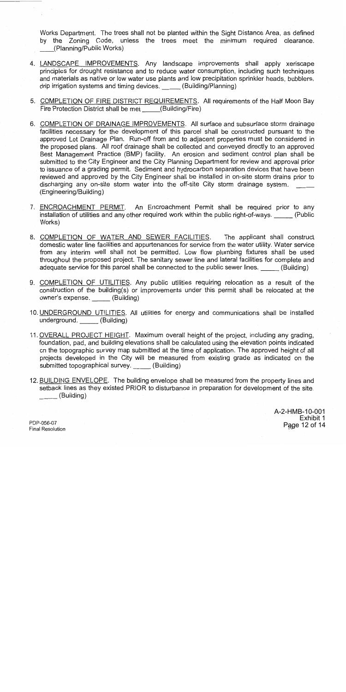Works Department. The trees shall not be planted within the Sight Distance Area, as defined by the Zoning Code, unless the trees meet the minimum required clearance. (Planning/Public Works)

- 4. LANDSCAPE IMPROVEMENTS. Any landscape improvements shall apply xeriscape principles for drought resistance and to reduce water consumption, including such techniques and materials as native or low water use plants and low precipitation sprinkler heads, bubblers, drip irrigation systems and timing devices. (Building/Planning)
- 5. COMPLETION OF FIRE DISTRICT REQUIREMENTS. All requirements of the Half Moon Bay Fire Protection District shall be met (Building/Fire)
- 6. COMPLETION OF DRAINAGE IMPROVEMENTS. All surface and subsurface storm drainage facilities necessary for the development of this parcel shall be constructed pursuant to the approved Lot Drainage Plan. Run-off from and to adjacent properties must be considered in the proposed plans. All roof drainage shall be collected and conveved directly to an approved Best Management Practice (BMP) facility. An erosion and sediment control plan shall be submitted to the City Engineer and the City Planning Department for review and approval prior to issuance of a grading permit. Sediment and hydrocarbon separation devices that have been reviewed and approved by the City Engineer shall be installed in on-site storm drains prior to discharging any on-site storm water into the off-site City storm drainage system. (Engineering/Building)
- 7. ENCROACHMENT PERMIT. An Encroachment Permit shall be required prior to any installation of utilities and any other required work within the public right-of-ways. (Public Works)
- 8. COMPLETION OF WATER AND SEWER FACILITIES. The applicant shall construct domestic water line facilities and appurtenances for service from the water utility. Water service from any interim well shall not be permitted. Low flow plumbing fixtures shall be used throughout the proposed project. The sanitary sewer line and lateral facilities for complete and adequate service for this parcel shall be connected to the public sewer lines. (Building)
- 9. COMPLETION OF UTILITIES. Any public utilities requiring relocation as a result of the construction of the building(s) or improvements under this permit shall be relocated at the owner's expense. (Building)
- 10. UNDERGROUND UTILITIES. All utilities for energy and communications shall be installed underground. (Building)
- 11. OVERALL PROJECT HEIGHT. Maximum overall height of the project, including any grading, foundation, pad, and building elevations shall be calculated using the elevation points indicated on the topographic survey map submitted at the time of application. The approved height of all projects developed in the City will be measured from existing grade as indicated on the submitted topographical survey. (Building)
- 12. BUILDING ENVELOPE. The building envelope shall be measured from the property lines and setback lines as they existed PRIOR to disturbance in preparation for development of the site. (Building)

A-2-HMB-10-001 Exhibit 1 Page 12 of 14

PDP-056-07 **Final Resolution**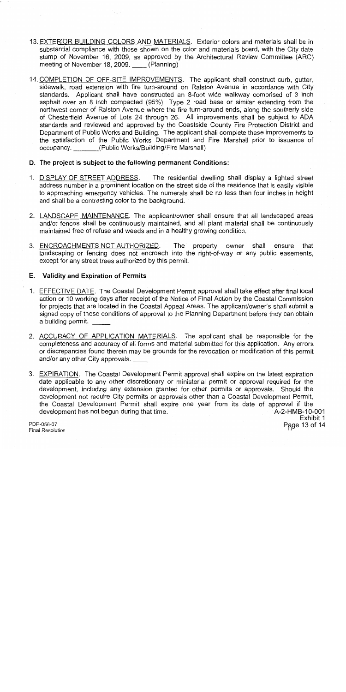- 13. EXTERIOR BUILDING COLORS AND MATERIALS. Exterior colors and materials shall be in substantial compliance with those shown on the color and materials board, with the City date stamp of November 16, 2009, as approved by the Architectural Review Committee (ARC) meeting of November 18, 2009. (Planning)
- 14. COMPLETION OF OFF-SITE IMPROVEMENTS. The applicant shall construct curb, gutter, sidewalk, road extension with fire turn-around on Ralston Avenue in accordance with City standards. Applicant shall have constructed an 8-foot wide walkway comprised of 3 inch asphalt over an 8 inch compacted (95%) Type 2 road base or similar extending from the northwest corner of Ralston Avenue where the fire turn-around ends, along the southerly side of Chesterfield Avenue of Lots 24 through 26. All improvements shall be subject to ADA standards and reviewed and approved by the Coastside County Fire Protection District and Department of Public Works and Building. The applicant shall complete these improvements to the satisfaction of the Public Works Department and Fire Marshall prior to issuance of occupancy. (Public Works/Building/Fire Marshall)

## D. The project is subject to the following permanent Conditions:

- 1. DISPLAY OF STREET ADDRESS. The residential dwelling shall display a lighted street address number in a prominent location on the street side of the residence that is easily visible to approaching emergency vehicles. The numerals shall be no less than four inches in height and shall be a contrasting color to the background.
- 2. LANDSCAPE MAINTENANCE. The applicant/owner shall ensure that all landscaped areas and/or fences shall be continuously maintained, and all plant material shall be continuously maintained free of refuse and weeds and in a healthy growing condition.
- 3. ENCROACHMENTS NOT AUTHORIZED. The property owner shall ensure that landscaping or fencing does not encroach into the right-of-way or any public easements. except for any street trees authorized by this permit.

# E. Validity and Expiration of Permits

- 1. EFFECTIVE DATE. The Coastal Development Permit approval shall take effect after final local action or 10 working days after receipt of the Notice of Final Action by the Coastal Commission for projects that are located in the Coastal Appeal Areas. The applicant/owner's shall submit a signed copy of these conditions of approval to the Planning Department before they can obtain a building permit.
- 2. ACCURACY OF APPLICATION MATERIALS. The applicant shall be responsible for the completeness and accuracy of all forms and material submitted for this application. Any errors or discrepancies found therein may be grounds for the revocation or modification of this permit and/or any other City approvals.
- 3. EXPIRATION. The Coastal Development Permit approval shall expire on the latest expiration date applicable to any other discretionary or ministerial permit or approval required for the development, including any extension granted for other permits or approvals. Should the development not require City permits or approvals other than a Coastal Development Permit, the Coastal Development Permit shall expire one year from its date of approval if the development has not begun during that time. A-2-HMB-10-001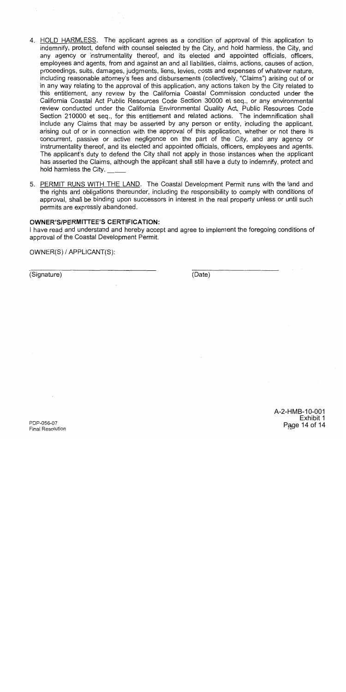- 4. HOLD HARMLESS. The applicant agrees as a condition of approval of this application to indemnify, protect, defend with counsel selected by the City, and hold harmless, the City, and any agency or instrumentality thereof, and its elected and appointed officials, officers, employees and agents, from and against an and all liabilities, claims, actions, causes of action, proceedings, suits, damages, judgments, liens, levies, costs and expenses of whatever nature, including reasonable attorney's fees and disbursements (collectively, "Claims") arising out of or in any way relating to the approval of this application, any actions taken by the City related to this entitlement, any review by the California Coastal Commission conducted under the California Coastal Act Public Resources Code Section 30000 et seg., or any environmental review conducted under the California Environmental Quality Act, Public Resources Code Section 210000 et seq., for this entitlement and related actions. The indemnification shall include any Claims that may be asserted by any person or entity, including the applicant, arising out of or in connection with the approval of this application, whether or not there is concurrent, passive or active negligence on the part of the City, and any agency or instrumentality thereof, and its elected and appointed officials, officers, employees and agents. The applicant's duty to defend the City shall not apply in those instances when the applicant has asserted the Claims, although the applicant shall still have a duty to indemnify, protect and hold harmless the City.
- 5. PERMIT RUNS WITH THE LAND. The Coastal Development Permit runs with the land and the rights and obligations thereunder, including the responsibility to comply with conditions of approval, shall be binding upon successors in interest in the real property unless or until such permits are expressly abandoned.

### **OWNER'S/PERMITTEE'S CERTIFICATION:**

I have read and understand and hereby accept and agree to implement the foregoing conditions of approval of the Coastal Development Permit.

OWNER(S) / APPLICANT(S):

(Signature)

(Date)

A-2-HMB-10-001 Exhibit 1 Page 14 of 14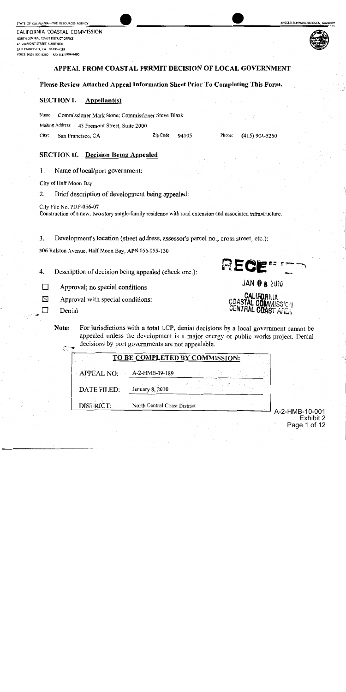CALIFORNIA COASTAL COMMISSION NORTH CENTRAL COAST DISTRICT OFFICE 45 FREMONT STREET, SUITE 2000 SAN FRANCISCO, CA 94105-2219 VOICE (415) 904-5260 FAX (415) 904-5400



### APPEAL FROM COASTAL PERMIT DECISION OF LOCAL GOVERNMENT

### Please Review Attached Appeal Information Sheet Prior To Completing This Form.

#### **SECTION I.** Appellant(s)

Name: Commissioner Mark Stone; Commissioner Steve Blank

Mailing Address: 45 Fremont Street, Suite 2000

City: San Francisco, CA Zip Code: 94105 Phone:  $(415)$  904-5260

RECE

JAN O 8 2010

**CALIFORNIA** 

COASTAL COMMISSION

### **SECTION II.** Decision Being Appealed

1. Name of local/port government:

City of Half Moon Bay

Brief description of development being appealed: 2.

City File No. PDP-056-07 Construction of a new, two-story single-family residence with road extension and associated infrastructure.

3. Development's location (street address, assessor's parcel no., cross street, etc.):

306 Ralston Avenue, Half Moon Bay, APN 056-055-130

4. Description of decision being appealed (check one.):

 $\Box$ Approval; no special conditions

 $\times$ Approval with special conditions:

Denial

П

Note: For jurisdictions with a total LCP, denial decisions by a local government cannot be appealed unless the development is a major energy or public works project. Denial decisions by port governments are not appealable.

| <b>APPEAL NO:</b> | A-2-HMB-09-189  |  |
|-------------------|-----------------|--|
| DATE FILED:       | January 8, 2010 |  |

A-2-HMB-10-001 Exhibit 2 Page 1 of 12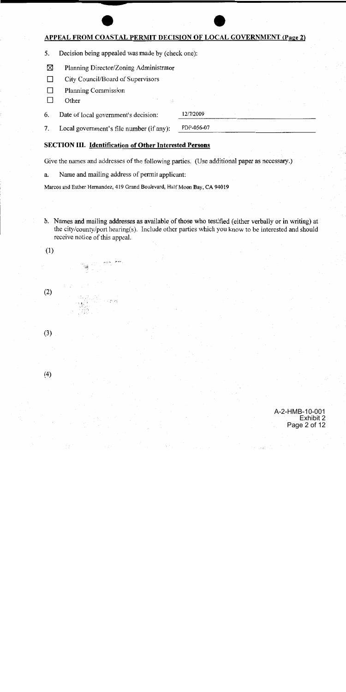# **APPEAL FROM COASTAL PERMIT DECISION OF LOCAL GOVERNMENT (Page 2)**

5. Decision being appealed was made by (check one):

- ⊠ Planning Director/Zoning Administrator
- $\Box$ City Council/Board of Supervisors
- $\Box$ **Planning Commission**
- $\Box$ Other

12/7/2009 6. Date of local government's decision:

PDP-056-07 7. Local government's file number (if any):

# **SECTION III. Identification of Other Interested Persons**

Give the names and addresses of the following parties. (Use additional paper as necessary.)

Name and mailing address of permit applicant: a.

Marcos and Esther Hernandez, 419 Grand Boulevard, Half Moon Bay, CA 94019

b. Names and mailing addresses as available of those who testified (either verbally or in writing) at the city/county/port hearing(s). Include other parties which you know to be interested and should receive notice of this appeal.

 $(1)$ 

 $(3)$ 

 $(4)$ 

 $(2)$ 

A-2-HMB-10-001 Exhibit 2 Page 2 of 12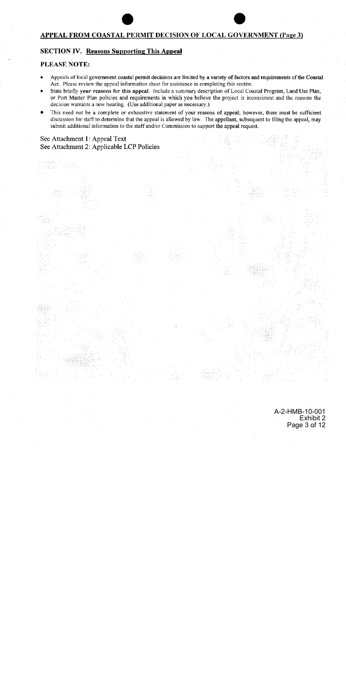# APPEAL FROM COASTAL PERMIT DECISION OF LOCAL GOVERNMENT (Page 3)

# **SECTION IV. Reasons Supporting This Appeal**

### **PLEASE NOTE:**

- Appeals of local government coastal permit decisions are limited by a variety of factors and requirements of the Coastal Act. Please review the appeal information sheet for assistance in completing this section.
- State briefly your reasons for this appeal. Include a summary description of Local Coastal Program, Land Use Plan, or Port Master Plan policies and requirements in which you believe the project is inconsistent and the reasons the decision warrants a new hearing. (Use additional paper as necessary.)
- This need not be a complete or exhaustive statement of your reasons of appeal; however, there must be sufficient discussion for staff to determine that the appeal is allowed by law. The appellant, subsequent to filing the appeal, may submit additional information to the staff and/or Commission to support the appeal request.

# See Attachment 1: Appeal Text See Attachment 2: Applicable LCP Policies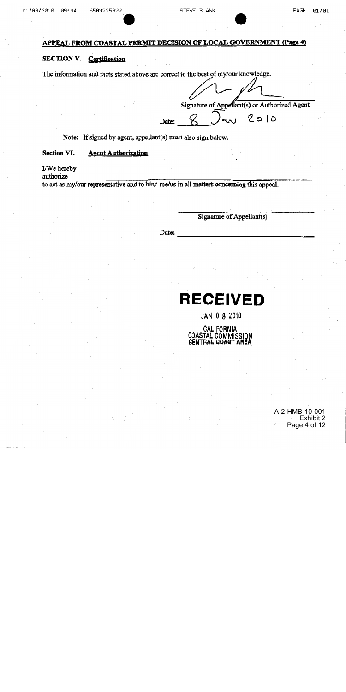# APPEAL FROM COASTAL PERMIT DECISION OF LOCAL GOVERNMENT (Page 4)

### **SECTION V. Certification**

The information and facts stated above are correct to the best of my/our knowledge.

Signature of Appellant(s) or Authorized Agent  $2010$ Date:

Note: If signed by agent, appellant(s) must also sign below.

#### Section VI. **Agent Authorization**

I/We hereby

authorize

to act as my/our representative and to bind me/us in all matters concerning this appeal.

Signature of Appellant(s)

Date:

# **RECEIVED**

JAN 0 8 2010

CALIFORNIA COASTAL COMMISSION

> A-2-HMB-10-001 Exhibit 2 Page 4 of 12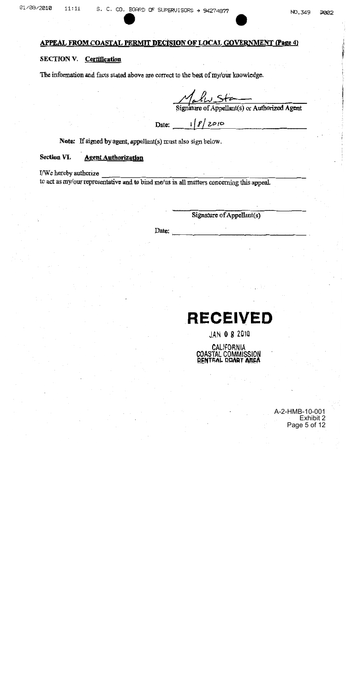# APPEAL FROM COASTAL PERMIT DECISION OF LOCAL GOVERNMENT (Page 4)

### SECTION V. Certification

The information and facts stated above are correct to the best of my/our knowledge.

Street Signature of Appellant(s) or Authorized Agent

Date:  $18/2010$ 

Note: If signed by agent, appellant(s) must also sign below.

#### Section VI. **Agent Authorization**

I/We hereby authorize

to act as my/our representative and to bind me/us in all matters concerning this appeal.

Signature of Appellant(s)

Date:

# **RECEIVED**

JAN 0 8 2010

CALIFORNIA COASTAL COMMISSION<br>BENTRAL DRAST AREA

> A-2-HMB-10-001 Exhibit 2 Page 5 of 12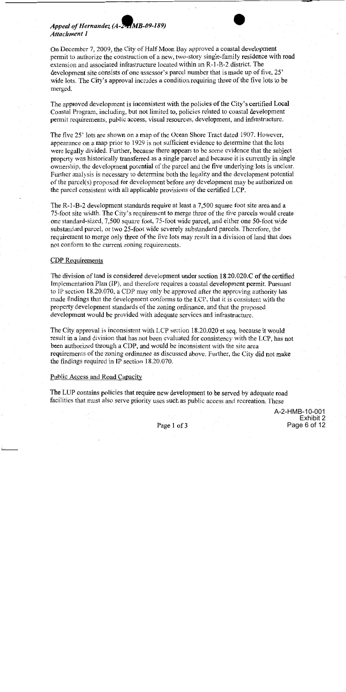# Appeal of Hernandez (A-2-1MB-09-189) Attachment 1

On December 7, 2009, the City of Half Moon Bay approved a coastal development permit to authorize the construction of a new, two-story single-family residence with road extension and associated infrastructure located within an R-1-B-2 district. The development site consists of one assessor's parcel number that is made up of five, 25' wide lots. The City's approval includes a condition requiring three of the five lots to be merged.

The approved development is inconsistent with the policies of the City's certified Local Coastal Program, including, but not limited to, policies related to coastal development permit requirements, public access, visual resources, development, and infrastructure.

The five 25' lots are shown on a map of the Ocean Shore Tract dated 1907. However, appearance on a map prior to 1929 is not sufficient evidence to determine that the lots were legally divided. Further, because there appears to be some evidence that the subject property was historically transferred as a single parcel and because it is currently in single ownership, the development potential of the parcel and the five underlying lots is unclear. Further analysis is necessary to determine both the legality and the development potential of the parcel(s) proposed for development before any development may be authorized on the parcel consistent with all applicable provisions of the certified LCP.

The R-1-B-2 development standards require at least a 7,500 square foot site area and a 75-foot site width. The City's requirement to merge three of the five parcels would create one standard-sized, 7,500 square foot, 75-foot wide parcel, and either one 50-foot wide substandard parcel, or two 25-foot wide severely substandard parcels. Therefore, the requirement to merge only three of the five lots may result in a division of land that does not conform to the current zoning requirements.

### **CDP** Requirements

The division of land is considered development under section 18.20.020.C of the certified Implementation Plan (IP), and therefore requires a coastal development permit. Pursuant to IP section 18.20.070, a CDP may only be approved after the approving authority has made findings that the development conforms to the LCP, that it is consistent with the property development standards of the zoning ordinance, and that the proposed development would be provided with adequate services and infrastructure.

The City approval is inconsistent with LCP section 18.20.020 et seq. because it would result in a land division that has not been evaluated for consistency with the LCP, has not been authorized through a CDP, and would be inconsistent with the site area requirements of the zoning ordinance as discussed above. Further, the City did not make the findings required in IP section 18.20.070.

### Public Access and Road Capacity

The LUP contains policies that require new development to be served by adequate road facilities that must also serve priority uses such as public access and recreation. These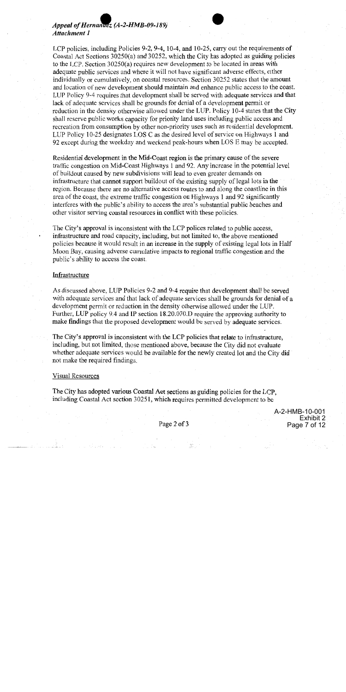# Appeal of Hernanaez (A-2-HMB-09-189) **Attachment 1**



Residential development in the Mid-Coast region is the primary cause of the severe traffic congestion on Mid-Coast Highways 1 and 92. Any increase in the potential level of buildout caused by new subdivisions will lead to even greater demands on infrastructure that cannot support buildout of the existing supply of legal lots in the region. Because there are no alternative access routes to and along the coastline in this area of the coast, the extreme traffic congestion on Highways 1 and 92 significantly interferes with the public's ability to access the area's substantial public beaches and other visitor serving coastal resources in conflict with these policies.

The City's approval is inconsistent with the LCP polices related to public access, infrastructure and road capacity, including, but not limited to, the above mentioned policies because it would result in an increase in the supply of existing legal lots in Half Moon Bay, causing adverse cumulative impacts to regional traffic congestion and the public's ability to access the coast.

### Infrastructure

As discussed above, LUP Policies 9-2 and 9-4 require that development shall be served with adequate services and that lack of adequate services shall be grounds for denial of a development permit or reduction in the density otherwise allowed under the LUP. Further, LUP policy 9.4 and IP section 18.20.070.D require the approving authority to make findings that the proposed development would be served by adequate services.

The City's approval is inconsistent with the LCP policies that relate to infrastructure, including, but not limited, those mentioned above, because the City did not evaluate whether adequate services would be available for the newly created lot and the City did not make the required findings.

#### **Visual Resources**

The City has adopted various Coastal Act sections as guiding policies for the LCP, including Coastal Act section 30251, which requires permitted development to be

> A-2-HMB-10-001 Exhibit 2 Page 7 of 12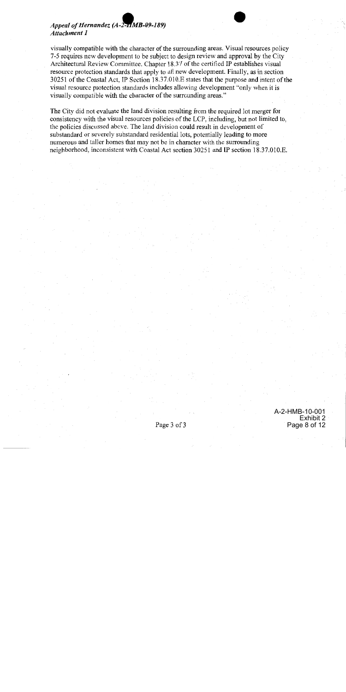# Appeal of Hernandez (A-2-HMB-09-189) **Attachment 1**

visually compatible with the character of the surrounding areas. Visual resources policy 7-5 requires new development to be subject to design review and approval by the City Architectural Review Committee. Chapter 18.37 of the certified IP establishes visual resource protection standards that apply to all new development. Finally, as in section 30251 of the Coastal Act, IP Section 18.37.010. E states that the purpose and intent of the visual resource protection standards includes allowing development "only when it is visually compatible with the character of the surrounding areas."

The City did not evaluate the land division resulting from the required lot merger for consistency with the visual resources policies of the LCP, including, but not limited to, the policies discussed above. The land division could result in development of substandard or severely substandard residential lots, potentially leading to more numerous and taller homes that may not be in character with the surrounding neighborhood, inconsistent with Coastal Act section 30251 and IP section 18.37.010.E.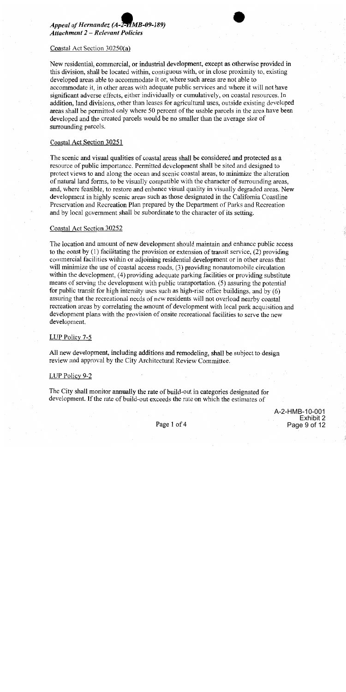

New residential, commercial, or industrial development, except as otherwise provided in this division, shall be located within, contiguous with, or in close proximity to, existing developed areas able to accommodate it or, where such areas are not able to accommodate it, in other areas with adequate public services and where it will not have significant adverse effects, either individually or cumulatively, on coastal resources. In addition, land divisions, other than leases for agricultural uses, outside existing developed areas shall be permitted only where 50 percent of the usable parcels in the area have been developed and the created parcels would be no smaller than the average size of surrounding parcels.

### Coastal Act Section 30251

The scenic and visual qualities of coastal areas shall be considered and protected as a resource of public importance. Permitted development shall be sited and designed to protect views to and along the ocean and scenic coastal areas, to minimize the alteration of natural land forms, to be visually compatible with the character of surrounding areas, and, where feasible, to restore and enhance visual quality in visually degraded areas. New development in highly scenic areas such as those designated in the California Coastline Preservation and Recreation Plan prepared by the Department of Parks and Recreation and by local government shall be subordinate to the character of its setting.

### Coastal Act Section 30252

The location and amount of new development should maintain and enhance public access to the coast by  $(1)$  facilitating the provision or extension of transit service,  $(2)$  providing commercial facilities within or adjoining residential development or in other areas that will minimize the use of coastal access roads, (3) providing nonautomobile circulation within the development, (4) providing adequate parking facilities or providing substitute means of serving the development with public transportation, (5) assuring the potential for public transit for high intensity uses such as high-rise office buildings, and by  $(6)$ assuring that the recreational needs of new residents will not overload nearby coastal recreation areas by correlating the amount of development with local park acquisition and development plans with the provision of onsite recreational facilities to serve the new development.

### LUP Policy  $7-5$

All new development, including additions and remodeling, shall be subject to design review and approval by the City Architectural Review Committee.

#### LUP Policy 9-2

The City shall monitor annually the rate of build-out in categories designated for development. If the rate of build-out exceeds the rate on which the estimates of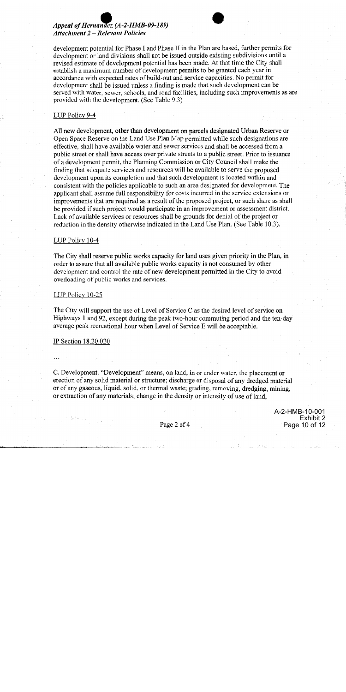# Appeal of Hernandez (A-2-HMB-09-189) **Attachment 2 – Relevant Policies**

development potential for Phase I and Phase II in the Plan are based, further permits for development or land divisions shall not be issued outside existing subdivisions until a revised estimate of development potential has been made. At that time the City shall establish a maximum number of development permits to be granted each year in accordance with expected rates of build-out and service capacities. No permit for development shall be issued unless a finding is made that such development can be served with water, sewer, schools, and road facilities, including such improvements as are provided with the development. (See Table 9.3)

### LUP Policy 9-4

All new development, other than development on parcels designated Urban Reserve or Open Space Reserve on the Land Use Plan Map permitted while such designations are effective, shall have available water and sewer services and shall be accessed from a public street or shall have access over private streets to a public street. Prior to issuance of a development permit, the Planning Commission or City Council shall make the finding that adequate services and resources will be available to serve the proposed development upon its completion and that such development is located within and consistent with the policies applicable to such an area designated for development. The applicant shall assume full responsibility for costs incurred in the service extensions or improvements that are required as a result of the proposed project, or such share as shall be provided if such project would participate in an improvement or assessment district. Lack of available services or resources shall be grounds for denial of the project or reduction in the density otherwise indicated in the Land Use Plan. (See Table 10.3).

### LUP Policy 10-4

The City shall reserve public works capacity for land uses given priority in the Plan, in order to assure that all available public works capacity is not consumed by other development and control the rate of new development permitted in the City to avoid overloading of public works and services.

#### LUP Policy 10-25

The City will support the use of Level of Service C as the desired level of service on Highways 1 and 92, except during the peak two-hour commuting period and the ten-day average peak recreational hour when Level of Service E will be acceptable.

#### IP Section 18.20.020

C. Development. "Development" means, on land, in or under water, the placement or erection of any solid material or structure; discharge or disposal of any dredged material or of any gaseous, liquid, solid, or thermal waste; grading, removing, dredging, mining, or extraction of any materials; change in the density or intensity of use of land,

> A-2-HMB-10-001 Exhibit 2 Page 10 of 12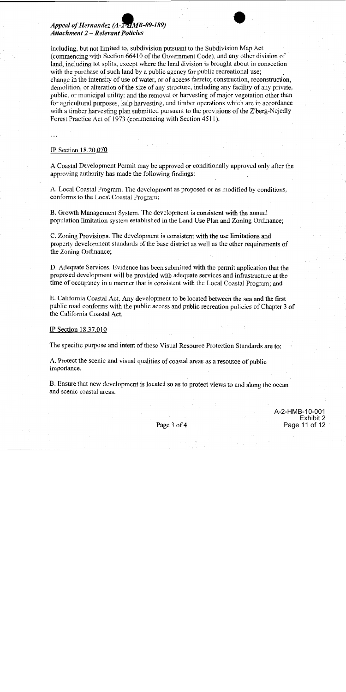# Appeal of Hernandez (A-2-HMB-09-189) **Attachment 2 - Relevant Policies**

including, but not limited to, subdivision pursuant to the Subdivision Map Act (commencing with Section 66410 of the Government Code), and any other division of land, including lot splits, except where the land division is brought about in connection with the purchase of such land by a public agency for public recreational use; change in the intensity of use of water, or of access thereto; construction, reconstruction, demolition, or alteration of the size of any structure, including any facility of any private, public, or municipal utility; and the removal or harvesting of major vegetation other than for agricultural purposes, kelp harvesting, and timber operations which are in accordance with a timber harvesting plan submitted pursuant to the provisions of the Z'berg-Nejedly Forest Practice Act of 1973 (commencing with Section 4511).

### IP Section 18.20.070

A Coastal Development Permit may be approved or conditionally approved only after the approving authority has made the following findings:

A. Local Coastal Program. The development as proposed or as modified by conditions, conforms to the Local Coastal Program;

B. Growth Management System. The development is consistent with the annual population limitation system established in the Land Use Plan and Zoning Ordinance;

C. Zoning Provisions. The development is consistent with the use limitations and property development standards of the base district as well as the other requirements of the Zoning Ordinance;

D. Adequate Services. Evidence has been submitted with the permit application that the proposed development will be provided with adequate services and infrastructure at the time of occupancy in a manner that is consistent with the Local Coastal Program; and

E. California Coastal Act. Any development to be located between the sea and the first public road conforms with the public access and public recreation policies of Chapter 3 of the California Coastal Act.

#### IP Section 18.37.010

The specific purpose and intent of these Visual Resource Protection Standards are to:

A. Protect the scenic and visual qualities of coastal areas as a resource of public importance.

B. Ensure that new development is located so as to protect views to and along the ocean and scenic coastal areas.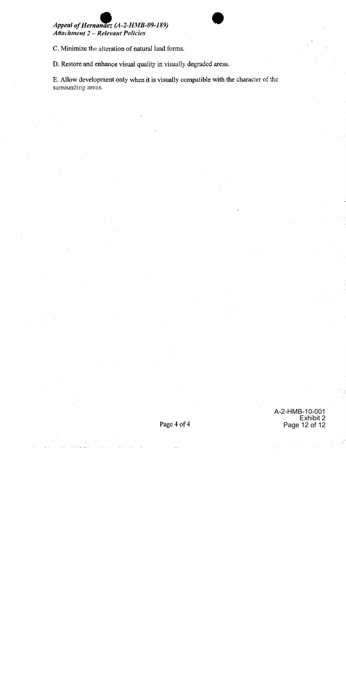# Appeal of Hernandez (A-2-HMB-09-189) **Attachment 2 - Relevant Policies**

C. Minimize the alteration of natural land forms.

D. Restore and enhance visual quality in visually degraded areas.

E. Allow development only when it is visually compatible with the character of the surrounding areas.

> A-2-HMB-10-001 Exhibit 2 Page 12 of 12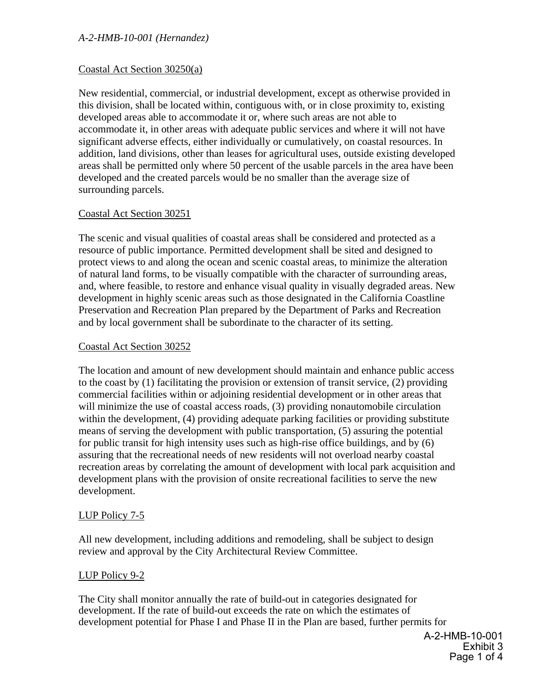# Coastal Act Section 30250(a)

New residential, commercial, or industrial development, except as otherwise provided in this division, shall be located within, contiguous with, or in close proximity to, existing developed areas able to accommodate it or, where such areas are not able to accommodate it, in other areas with adequate public services and where it will not have significant adverse effects, either individually or cumulatively, on coastal resources. In addition, land divisions, other than leases for agricultural uses, outside existing developed areas shall be permitted only where 50 percent of the usable parcels in the area have been developed and the created parcels would be no smaller than the average size of surrounding parcels.

# Coastal Act Section 30251

The scenic and visual qualities of coastal areas shall be considered and protected as a resource of public importance. Permitted development shall be sited and designed to protect views to and along the ocean and scenic coastal areas, to minimize the alteration of natural land forms, to be visually compatible with the character of surrounding areas, and, where feasible, to restore and enhance visual quality in visually degraded areas. New development in highly scenic areas such as those designated in the California Coastline Preservation and Recreation Plan prepared by the Department of Parks and Recreation and by local government shall be subordinate to the character of its setting.

# Coastal Act Section 30252

The location and amount of new development should maintain and enhance public access to the coast by (1) facilitating the provision or extension of transit service, (2) providing commercial facilities within or adjoining residential development or in other areas that will minimize the use of coastal access roads, (3) providing nonautomobile circulation within the development, (4) providing adequate parking facilities or providing substitute means of serving the development with public transportation, (5) assuring the potential for public transit for high intensity uses such as high-rise office buildings, and by (6) assuring that the recreational needs of new residents will not overload nearby coastal recreation areas by correlating the amount of development with local park acquisition and development plans with the provision of onsite recreational facilities to serve the new development.

# LUP Policy 7-5

All new development, including additions and remodeling, shall be subject to design review and approval by the City Architectural Review Committee.

# LUP Policy 9-2

The City shall monitor annually the rate of build-out in categories designated for development. If the rate of build-out exceeds the rate on which the estimates of development potential for Phase I and Phase II in the Plan are based, further permits for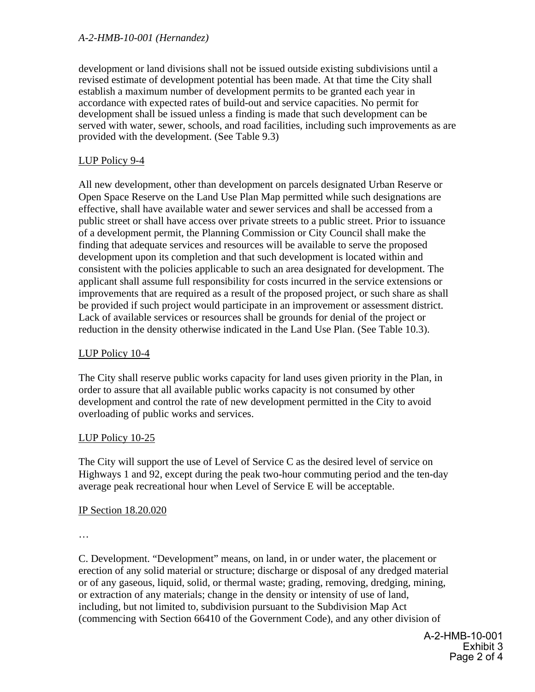development or land divisions shall not be issued outside existing subdivisions until a revised estimate of development potential has been made. At that time the City shall establish a maximum number of development permits to be granted each year in accordance with expected rates of build-out and service capacities. No permit for development shall be issued unless a finding is made that such development can be served with water, sewer, schools, and road facilities, including such improvements as are provided with the development. (See Table 9.3)

# LUP Policy 9-4

All new development, other than development on parcels designated Urban Reserve or Open Space Reserve on the Land Use Plan Map permitted while such designations are effective, shall have available water and sewer services and shall be accessed from a public street or shall have access over private streets to a public street. Prior to issuance of a development permit, the Planning Commission or City Council shall make the finding that adequate services and resources will be available to serve the proposed development upon its completion and that such development is located within and consistent with the policies applicable to such an area designated for development. The applicant shall assume full responsibility for costs incurred in the service extensions or improvements that are required as a result of the proposed project, or such share as shall be provided if such project would participate in an improvement or assessment district. Lack of available services or resources shall be grounds for denial of the project or reduction in the density otherwise indicated in the Land Use Plan. (See Table 10.3).

# LUP Policy 10-4

The City shall reserve public works capacity for land uses given priority in the Plan, in order to assure that all available public works capacity is not consumed by other development and control the rate of new development permitted in the City to avoid overloading of public works and services.

# LUP Policy 10-25

The City will support the use of Level of Service C as the desired level of service on Highways 1 and 92, except during the peak two-hour commuting period and the ten-day average peak recreational hour when Level of Service E will be acceptable.

# IP Section 18.20.020

…

C. Development. "Development" means, on land, in or under water, the placement or erection of any solid material or structure; discharge or disposal of any dredged material or of any gaseous, liquid, solid, or thermal waste; grading, removing, dredging, mining, or extraction of any materials; change in the density or intensity of use of land, including, but not limited to, subdivision pursuant to the Subdivision Map Act (commencing with Section 66410 of the Government Code), and any other division of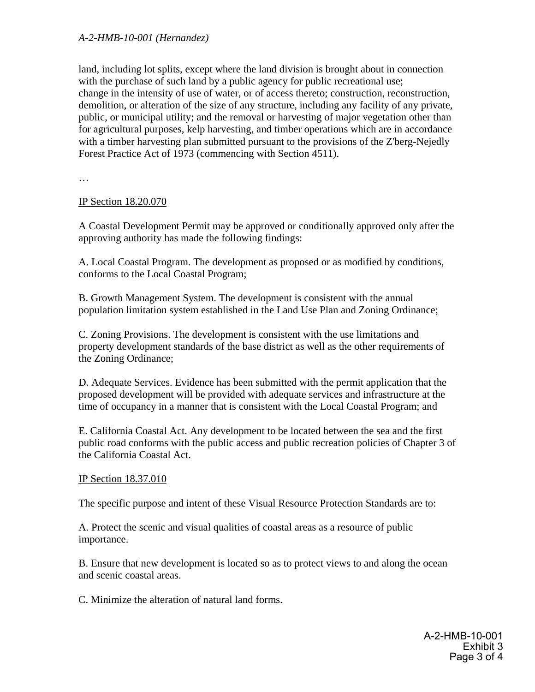land, including lot splits, except where the land division is brought about in connection with the purchase of such land by a public agency for public recreational use; change in the intensity of use of water, or of access thereto; construction, reconstruction, demolition, or alteration of the size of any structure, including any facility of any private, public, or municipal utility; and the removal or harvesting of major vegetation other than for agricultural purposes, kelp harvesting, and timber operations which are in accordance with a timber harvesting plan submitted pursuant to the provisions of the Z'berg-Nejedly Forest Practice Act of 1973 (commencing with Section 4511).

…

# IP Section 18.20.070

A Coastal Development Permit may be approved or conditionally approved only after the approving authority has made the following findings:

A. Local Coastal Program. The development as proposed or as modified by conditions, conforms to the Local Coastal Program;

B. Growth Management System. The development is consistent with the annual population limitation system established in the Land Use Plan and Zoning Ordinance;

C. Zoning Provisions. The development is consistent with the use limitations and property development standards of the base district as well as the other requirements of the Zoning Ordinance;

D. Adequate Services. Evidence has been submitted with the permit application that the proposed development will be provided with adequate services and infrastructure at the time of occupancy in a manner that is consistent with the Local Coastal Program; and

E. California Coastal Act. Any development to be located between the sea and the first public road conforms with the public access and public recreation policies of Chapter 3 of the California Coastal Act.

# IP Section 18.37.010

The specific purpose and intent of these Visual Resource Protection Standards are to:

A. Protect the scenic and visual qualities of coastal areas as a resource of public importance.

B. Ensure that new development is located so as to protect views to and along the ocean and scenic coastal areas.

C. Minimize the alteration of natural land forms.